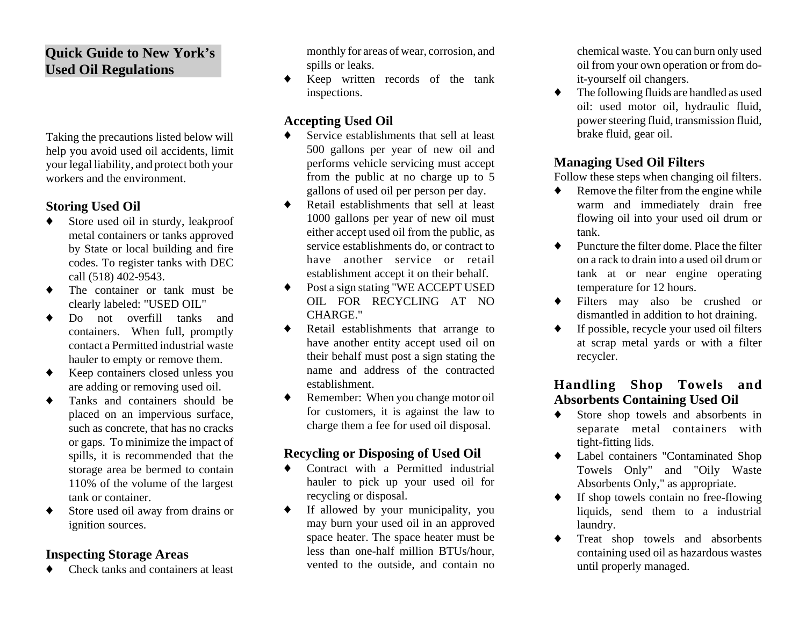# **Quick Guide to New York's Used Oil Regulations**

Taking the precautions listed below will help you avoid used oil accidents, limit your legal liability, and protect both your workers and the environment.

### **Storing Used Oil**

- ٠ Store used oil in sturdy, leakproof metal containers or tanks approved by State or local building and fire codes. To register tanks with DEC call (518) 402-9543.
- ٠ The container or tank must be clearly labeled: "USED OIL"
- ٠ Do not overfill tanks and containers. When full, promptly contact a Permitted industrial wastehauler to empty or remove them.
- ♦ Keep containers closed unless you are adding or removing used oil.
- ٠ Tanks and containers should be placed on an impervious surface, such as concrete, that has no cracks or gaps. To minimize the impact of spills, it is recommended that the storage area be bermed to contain 110% of the volume of the largest tank or container.
- ♦ Store used oil away from drains or ignition sources.

#### **Inspecting Storage Areas**

 $\bullet$ Check tanks and containers at least monthly for areas of wear, corrosion, and spills or leaks.

٠ Keep written records of the tank inspections.

# **Accepting Used Oil**

- ٠ Service establishments that sell at least 500 gallons per year of new oil and performs vehicle servicing must accept from the public at no charge up to 5 gallons of used oil per person per day.
- $\bullet$  Retail establishments that sell at least 1000 gallons per year of new oil must either accept used oil from the public, as service establishments do, or contract to have another service or retailestablishment accept it on their behalf.
- ٠ Post a sign stating "WE ACCEPT USED OIL FOR RECYCLING AT NOCHARGE."
- ٠ Retail establishments that arrange to have another entity accept used oil on their behalf must post a sign stating the name and address of the contractedestablishment.
- ٠ Remember: When you change motor oil for customers, it is against the law to charge them a fee for used oil disposal.

# **Recycling or Disposing of Used Oil**

- ٠ Contract with a Permitted industrial hauler to pick up your used oil for recycling or disposal.
- $\blacklozenge$  If allowed by your municipality, you may burn your used oil in an approved space heater. The space heater must be less than one-half million BTUs/hour, vented to the outside, and contain no

chemical waste. You can burn only used oil from your own operation or from doit-yourself oil changers.

٠ The following fluids are handled as used oil: used motor oil, hydraulic fluid, power steering fluid, transmission fluid, brake fluid, gear oil.

# **Managing Used Oil Filters**

Follow these steps when changing oil filters.

- ٠ Remove the filter from the engine while warm and immediately drain free flowing oil into your used oil drum or tank.
- $\bullet$  Puncture the filter dome. Place the filter on a rack to drain into a used oil drum ortank at or near engine operating temperature for 12 hours.
- ٠ Filters may also be crushed or dismantled in addition to hot draining.
- $\bullet$  If possible, recycle your used oil filters at scrap metal yards or with a filter recycler.

# **Handling Shop Towels and Absorbents Containing Used Oil**

- ٠ Store shop towels and absorbents in separate metal containers with tight-fitting lids.
- $\bullet$  Label containers "Contaminated Shop Towels Only" and "Oily Waste Absorbents Only," as appropriate.
- $\bullet$  If shop towels contain no free-flowing liquids, send them to a industrial laundry.
- ٠ Treat shop towels and absorbents containing used oil as hazardous wastes until properly managed.